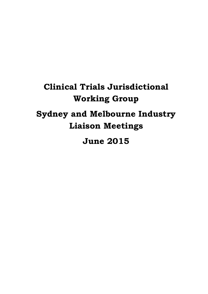# **Clinical Trials Jurisdictional Working Group Sydney and Melbourne Industry Liaison Meetings**

**June 2015**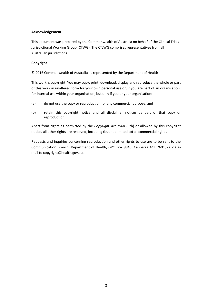#### **Acknowledgement**

This document was prepared by the Commonwealth of Australia on behalf of the Clinical Trials Jurisdictional Working Group (CTWG). The CTJWG comprises representatives from all Australian jurisdictions.

#### **Copyright**

© 2016 Commonwealth of Australia as represented by the Department of Health

This work is copyright. You may copy, print, download, display and reproduce the whole or part of this work in unaltered form for your own personal use or, if you are part of an organisation, for internal use within your organisation, but only if you or your organisation:

- (a) do not use the copy or reproduction for any commercial purpose; and
- (b) retain this copyright notice and all disclaimer notices as part of that copy or reproduction.

Apart from rights as permitted by the *Copyright Act 1968* (Cth) or allowed by this copyright notice*,* all other rights are reserved, including (but not limited to) all commercial rights.

Requests and inquiries concerning reproduction and other rights to use are to be sent to the Communication Branch, Department of Health, GPO Box 9848, Canberra ACT 2601, or via email to copyright@health.gov.au.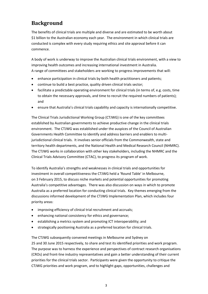# **Background**

The benefits of clinical trials are multiple and diverse and are estimated to be worth about \$1 billion to the Australian economy each year. The environment in which clinical trials are conducted is complex with every study requiring ethics and site approval before it can commence.

A body of work is underway to improve the Australian clinical trials environment, with a view to improving health outcomes and increasing international investment in Australia. A range of committees and stakeholders are working to progress improvements that will:

- enhance participation in clinical trials by both health practitioners and patients;
- continue to build a best practice, quality driven clinical trials sector;
- facilitate a predictable operating environment for clinical trials (in terms of, e.g. costs, time to obtain the necessary approvals, and time to recruit the required numbers of patients); and
- ensure that Australia's clinical trials capability and capacity is internationally competitive.

The Clinical Trials Jurisdictional Working Group (CTJWG) is one of the key committees established by Australian governments to achieve productive change in the clinical trials environment. The CTJWG was established under the auspices of the Council of Australian Governments Health Committee to identify and address barriers and enablers to multijurisdictional clinical trials. It involves senior officials from the Commonwealth, state and territory health departments, and the National Health and Medical Research Council (NHMRC). The CTJWG works in collaboration with other key stakeholders, including the NHMRC and the Clinical Trials Advisory Committee (CTAC), to progress its program of work.

To identify Australia's strengths and weaknesses in clinical trials and opportunities for investment in overall competitiveness the CTJWG held a 'Round Table' in Melbourne, on 3 February 2015, to discuss niche markets and potential opportunities for promoting Australia's competitive advantages. There was also discussion on ways in which to promote Australia as a preferred location for conducting clinical trials. Key themes emerging from the discussions informed development of the CTJWG Implementation Plan, which includes four priority areas:

- improving efficiency of clinical trial recruitment and accruals;
- enhancing national consistency for ethics and governance;
- establishing a metrics system and promoting ICT interoperability; and
- strategically positioning Australia as a preferred location for clinical trials.

The CTJWG subsequently convened meetings in Melbourne and Sydney on 25 and 30 June 2015 respectively, to share and test its identified priorities and work program. The purpose was to harness the experience and perspectives of contract research organisations (CROs) and front-line industry representatives and gain a better understanding of their current priorities for the clinical trials sector. Participants were given the opportunity to critique the CTJWG priorities and work program, and to highlight gaps, opportunities, challenges and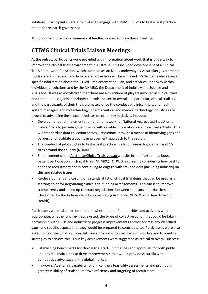solutions. Participants were also invited to engage with NHMRC pilots to test a best practice model for research governance.

This document provides a summary of feedback received from these meetings.

## **CTJWG Clinical Trials Liaison Meetings**

At the outset, participants were provided with information about work that is underway to improve the clinical trials environment in Australia. This included development of a Clinical Trials Framework for Action, which summarises activities underway by Australian governments (both state and federal) and how overall objectives will be achieved. Participants also received specific information about the CTJWG Implementation Plan, and activities underway within individual jurisdictions and by the NHMRC, the Department of Industry and Science and AusTrade. It was acknowledged that there are a multitude of players involved in clinical trials and that no one organisation/body controls the sector overall. In particular, clinical triallists and the participants of their trials ultimately drive the conduct of clinical trials, and health system managers and biotechnology, pharmaceutical and medical technology industries are pivotal to advancing the sector. Updates on other key initiatives included:

- Development and implementation of a framework for National Aggregated Statistics for clinical trials to provide governments with reliable information on clinical trial activity. This will standardise data collection across jurisdictions, provide a means of identifying gaps and barriers and facilitate a quality improvement approach to the sector.
- The conduct of pilot studies to test a best practice model of research governance at 16 sites around the country (NHMRC).
- Enhancement of the AustralianClinicalTrials.gov.au website in an effort to help boost patient participation in clinical trials (NHMRC). CTJWG is currently considering how best to enhance recruitment and is continuing to engage with stakeholders (including industry) on this and related issues.
- Re-development and costing of a standard list of clinical trial items that can be used as a starting point for negotiating clinical trial funding arrangements. The aim is to improve transparency and speed up contract negotiations between sponsors and trial sites (developed by the Independent Hospital Pricing Authority, NHMRC and Department of Health).

Participants were asked to comment on whether identified priorities and activities were appropriate, whether any key gaps existed, the types of collective action that could be taken in partnership with CROs and industry to progress improvements and/or address any identified gaps, and specific aspects that they would be prepared to contribute to. Participants were also asked to describe what a successful clinical trials environment would look like and to identify strategies to achieve this. Four key achievements were suggested as critical to overall success:

- Establishing benchmarks for clinical trial start-up timelines and approvals for both public and private institutions to drive improvements that would provide Australia with a competitive advantage in the global market.
- Improving Australia's capability for clinical trials feasibility assessments and promoting greater visibility of trials to improve efficiency and targeting of recruitment.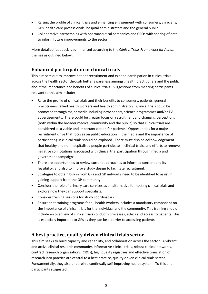- Raising the profile of clinical trials and enhancing engagement with consumers, clinicians, GPs, health care professionals, hospital administrators and the general public.
- Collaborative partnerships with pharmaceutical companies and CROs with sharing of data to inform future improvements to the sector.

More detailed feedback is summarised according to the *Clinical Trials Framework for Action* themes as outlined below.

## **Enhanced participation in clinical trials**

This aim sets out to improve patient recruitment and expand participation in clinical trials across the health sector through better awareness amongst health practitioners and the public about the importance and benefits of clinical trials. Suggestions from meeting participants relevant to this aim include:

- Raise the profile of clinical trials and their benefits to consumers, patients, general practitioners, allied health workers and health administrators. Clinical trials could be promoted through major media including newspapers, science programmes and/or TV advertisements. There could be greater focus on recruitment and changing perceptions (both within the broader medical community and the public) so that clinical trials are considered as a viable and important option for patients. Opportunities for a major recruitment drive that focuses on public education in the media and the importance of participating in clinical trials should be explored. There must also be acknowledgement that healthy and non-hospitalised people participate in clinical trials, and efforts to remove negative connotations associated with clinical trial participation through media and government campaigns.
- There are opportunities to review current approaches to informed consent and its feasibility, and also to improve study design to facilitate recruitment.
- Strategies to obtain buy in from GPs and GP networks need to be identified to assist in gaining support from the GP community.
- Consider the role of primary care services as an alternative for hosting clinical trials and explore how they can support specialists.
- Consider training sessions for study coordinators.
- Ensure that training programs for all health workers includes a mandatory component on the importance of clinical trials for the individual and the community. This training should include an overview of clinical trials conduct - processes, ethics and access to patients. This is especially important to GPs as they can be a barrier to accessing patients.

### **A best practice, quality driven clinical trials sector**

This aim seeks to build capacity and capability, and collaboration across the sector. A vibrant and active clinical research community, informative clinical trials, robust clinical networks, contract research organisations (CROs), high quality registries and effective translation of research into practice are central to a best practice, quality driven clinical trials sector. Fundamentally, they also underpin a continually self-improving health system. To this end, participants suggested: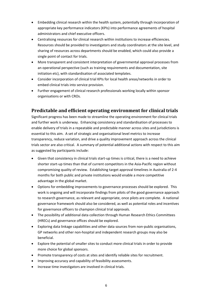- Embedding clinical research within the health system, potentially through incorporation of appropriate key performance indicators (KPIs) into performance agreements of hospital administrators and chief executive officers.
- Centralising resources for clinical research within institutions to increase efficiencies. Resources should be provided to investigators and study coordinators at the site level, and sharing of resources across departments should be enabled, which could also provide a single point of contact for trials.
- More transparent and consistent interpretation of governmental approval processes from an operational perspective (such as training requirements and documentation, site initiation etc), with standardisation of associated templates.
- Consider incorporation of clinical trial KPIs for local health areas/networks in order to embed clinical trials into service provision.
- Further engagement of clinical research professionals working locally within sponsor organisations or with CROs.

#### **Predictable and efficient operating environment for clinical trials**

Significant progress has been made to streamline the operating environment for clinical trials and further work is underway. Enhancing consistency and standardisation of processes to enable delivery of trials in a repeatable and predictable manner across sites and jurisdictions is essential to this aim. A set of strategic and organisational level metrics to increase transparency, reduce variation, and drive a quality improvement approach across the clinical trials sector are also critical. A summary of potential additional actions with respect to this aim as suggested by participants include:

- Given that consistency in clinical trials start-up times is critical, there is a need to achieve shorter start-up times than that of current competitors in the Asia-Pacific region without compromising quality of review. Establishing target approval timelines in Australia of 2-4 months for both public and private institutions would enable a more competitive advantage in the global market.
- Options for embedding improvements to governance processes should be explored. This work is ongoing and will incorporate findings from pilots of the good governance approach to research governance, as relevant and appropriate, once pilots are complete. A national governance framework should also be considered, as well as potential roles and incentives for governance officers to champion clinical trial approvals.
- The possibility of additional data collection through Human Research Ethics Committees (HRECs) and governance offices should be explored.
- Exploring data linkage capabilities and other data sources from non-public organisations, GP networks and other non-hospital and independent research groups may also be beneficial.
- Explore the potential of smaller sites to conduct more clinical trials in order to provide more choice for global sponsors.
- Promote transparency of costs at sites and identify reliable sites for recruitment.
- Improving accuracy and capability of feasibility assessments.
- Increase time investigators are involved in clinical trials.